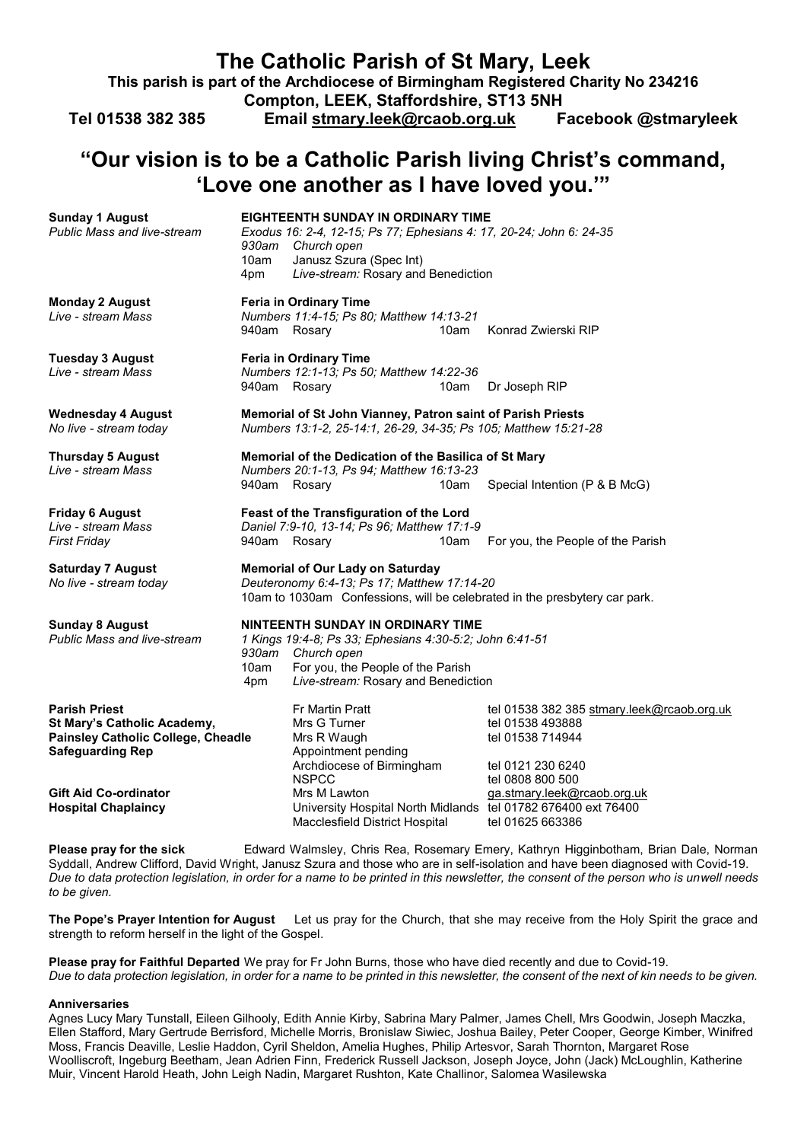| The Catholic Parish of St Mary, Leek<br>This parish is part of the Archdiocese of Birmingham Registered Charity No 234216<br>Compton, LEEK, Staffordshire, ST13 5NH<br>Tel 01538 382 385<br>Email stmary.leek@rcaob.org.uk<br>Facebook @stmaryleek |                                                                                                                                                                                                              |                                                                                                                                                                                                         |      |                                                                               |                                            |  |
|----------------------------------------------------------------------------------------------------------------------------------------------------------------------------------------------------------------------------------------------------|--------------------------------------------------------------------------------------------------------------------------------------------------------------------------------------------------------------|---------------------------------------------------------------------------------------------------------------------------------------------------------------------------------------------------------|------|-------------------------------------------------------------------------------|--------------------------------------------|--|
| "Our vision is to be a Catholic Parish living Christ's command,<br>'Love one another as I have loved you.""                                                                                                                                        |                                                                                                                                                                                                              |                                                                                                                                                                                                         |      |                                                                               |                                            |  |
| <b>Sunday 1 August</b><br><b>Public Mass and live-stream</b>                                                                                                                                                                                       | 10am<br>4pm                                                                                                                                                                                                  | <b>EIGHTEENTH SUNDAY IN ORDINARY TIME</b><br>Exodus 16: 2-4, 12-15; Ps 77; Ephesians 4: 17, 20-24; John 6: 24-35<br>930am Church open<br>Janusz Szura (Spec Int)<br>Live-stream: Rosary and Benediction |      |                                                                               |                                            |  |
| <b>Monday 2 August</b><br>Live - stream Mass                                                                                                                                                                                                       | 940am Rosary                                                                                                                                                                                                 | <b>Feria in Ordinary Time</b><br>Numbers 11:4-15; Ps 80; Matthew 14:13-21                                                                                                                               | 10am | Konrad Zwierski RIP                                                           |                                            |  |
| <b>Tuesday 3 August</b><br>Live - stream Mass                                                                                                                                                                                                      | 940am Rosary                                                                                                                                                                                                 | <b>Feria in Ordinary Time</b><br>Numbers 12:1-13; Ps 50; Matthew 14:22-36                                                                                                                               | 10am | Dr Joseph RIP                                                                 |                                            |  |
| Wednesday 4 August<br>No live - stream today                                                                                                                                                                                                       | Memorial of St John Vianney, Patron saint of Parish Priests<br>Numbers 13:1-2, 25-14:1, 26-29, 34-35; Ps 105; Matthew 15:21-28                                                                               |                                                                                                                                                                                                         |      |                                                                               |                                            |  |
| <b>Thursday 5 August</b><br>Live - stream Mass                                                                                                                                                                                                     | 940am Rosary                                                                                                                                                                                                 | Memorial of the Dedication of the Basilica of St Mary<br>Numbers 20:1-13, Ps 94; Matthew 16:13-23                                                                                                       | 10am |                                                                               | Special Intention (P & B McG)              |  |
| <b>Friday 6 August</b><br>Live - stream Mass<br>First Friday                                                                                                                                                                                       | 940am Rosary                                                                                                                                                                                                 | Feast of the Transfiguration of the Lord<br>Daniel 7:9-10, 13-14; Ps 96; Matthew 17:1-9                                                                                                                 | 10am |                                                                               | For you, the People of the Parish          |  |
| <b>Saturday 7 August</b><br>No live - stream today                                                                                                                                                                                                 | <b>Memorial of Our Lady on Saturday</b><br>Deuteronomy 6:4-13; Ps 17; Matthew 17:14-20<br>10am to 1030am Confessions, will be celebrated in the presbytery car park.                                         |                                                                                                                                                                                                         |      |                                                                               |                                            |  |
| <b>Sunday 8 August</b><br><b>Public Mass and live-stream</b>                                                                                                                                                                                       | NINTEENTH SUNDAY IN ORDINARY TIME<br>1 Kings 19:4-8; Ps 33; Ephesians 4:30-5:2; John 6:41-51<br>930am Church open<br>For you, the People of the Parish<br>10am<br>Live-stream: Rosary and Benediction<br>4pm |                                                                                                                                                                                                         |      |                                                                               |                                            |  |
| <b>Parish Priest</b><br>St Mary's Catholic Academy,<br><b>Painsley Catholic College, Cheadle</b><br><b>Safeguarding Rep</b>                                                                                                                        |                                                                                                                                                                                                              | Fr Martin Pratt<br>Mrs G Turner<br>Mrs R Waugh<br>Appointment pending<br>Archdiocese of Birmingham<br><b>NSPCC</b>                                                                                      |      | tel 01538 493888<br>tel 01538 714944<br>tel 0121 230 6240<br>tel 0808 800 500 | tel 01538 382 385 stmary.leek@rcaob.org.uk |  |
| <b>Gift Aid Co-ordinator</b><br><b>Hospital Chaplaincy</b>                                                                                                                                                                                         |                                                                                                                                                                                                              | Mrs M Lawton<br>University Hospital North Midlands tel 01782 676400 ext 76400<br>Macclesfield District Hospital                                                                                         |      | tel 01625 663386                                                              | ga.stmary.leek@rcaob.org.uk                |  |

**Please pray for the sick** Edward Walmsley, Chris Rea, Rosemary Emery, Kathryn Higginbotham, Brian Dale, Norman Syddall, Andrew Clifford, David Wright, Janusz Szura and those who are in self-isolation and have been diagnosed with Covid-19. *Due to data protection legislation, in order for a name to be printed in this newsletter, the consent of the person who is unwell needs to be given.* 

**The Pope's Prayer Intention for August** Let us pray for the Church, that she may receive from the Holy Spirit the grace and strength to reform herself in the light of the Gospel.

**Please pray for Faithful Departed** We pray for Fr John Burns, those who have died recently and due to Covid-19. *Due to data protection legislation, in order for a name to be printed in this newsletter, the consent of the next of kin needs to be given.* 

## **Anniversaries**

Agnes Lucy Mary Tunstall, Eileen Gilhooly, Edith Annie Kirby, Sabrina Mary Palmer, James Chell, Mrs Goodwin, Joseph Maczka, Ellen Stafford, Mary Gertrude Berrisford, Michelle Morris, Bronislaw Siwiec, Joshua Bailey, Peter Cooper, George Kimber, Winifred Moss, Francis Deaville, Leslie Haddon, Cyril Sheldon, Amelia Hughes, Philip Artesvor, Sarah Thornton, Margaret Rose Woolliscroft, Ingeburg Beetham, Jean Adrien Finn, Frederick Russell Jackson, Joseph Joyce, John (Jack) McLoughlin, Katherine Muir, Vincent Harold Heath, John Leigh Nadin, Margaret Rushton, Kate Challinor, Salomea Wasilewska